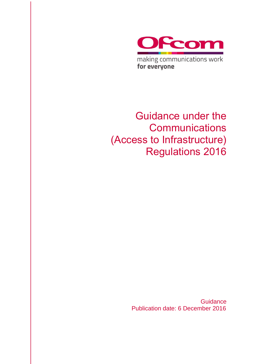

making communications work for everyone

Guidance under the **Communications** (Access to Infrastructure) Regulations 2016

> **Guidance** Publication date: 6 December 2016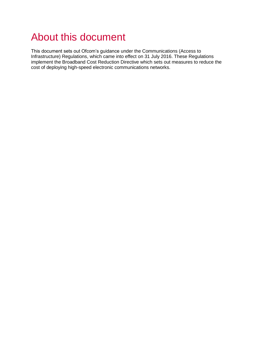# About this document

This document sets out Ofcom's guidance under the Communications (Access to Infrastructure) Regulations, which came into effect on 31 July 2016. These Regulations implement the Broadband Cost Reduction Directive which sets out measures to reduce the cost of deploying high-speed electronic communications networks.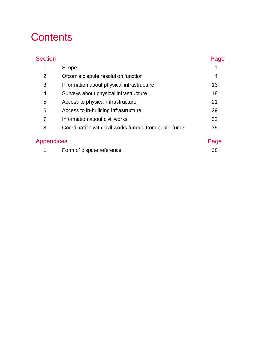# **Contents**

| <b>Section</b> |                                                        | Page           |
|----------------|--------------------------------------------------------|----------------|
| 1              | Scope                                                  |                |
| 2              | Ofcom's dispute resolution function                    | $\overline{4}$ |
| 3              | Information about physical infrastructure              | 13             |
| 4              | Surveys about physical infrastructure                  | 18             |
| 5              | Access to physical infrastructure                      | 21             |
| 6              | Access to in-building infrastructure                   | 29             |
| 7              | Information about civil works                          | 32             |
| 8              | Coordination with civil works funded from public funds | 35             |
| Appendices     |                                                        | Page           |
|                | Form of dispute reference                              | 38             |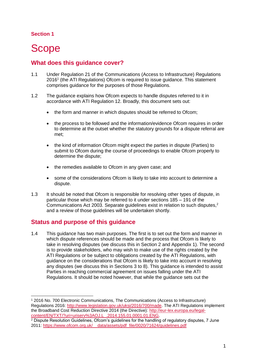-

# <span id="page-4-0"></span>**Scope**

# **What does this guidance cover?**

- 1.1 Under Regulation 21 of the Communications (Access to Infrastructure) Regulations 2016<sup>1</sup> (the ATI Regulations) Ofcom is required to issue guidance. This statement comprises guidance for the purposes of those Regulations.
- 1.2 The guidance explains how Ofcom expects to handle disputes referred to it in accordance with ATI Regulation 12. Broadly, this document sets out:
	- the form and manner in which disputes should be referred to Ofcom;
	- the process to be followed and the information/evidence Ofcom requires in order to determine at the outset whether the statutory grounds for a dispute referral are met;
	- the kind of information Ofcom might expect the parties in dispute (Parties) to submit to Ofcom during the course of proceedings to enable Ofcom properly to determine the dispute;
	- the remedies available to Ofcom in any given case; and
	- some of the considerations Ofcom is likely to take into account to determine a dispute.
- 1.3 It should be noted that Ofcom is responsible for resolving other types of dispute, in particular those which may be referred to it under sections 185 – 191 of the Communications Act 2003. Separate guidelines exist in relation to such disputes.<sup>2</sup> and a review of those guidelines will be undertaken shortly.

# **Status and purpose of this guidance**

1.4 This guidance has two main purposes. The first is to set out the form and manner in which dispute references should be made and the process that Ofcom is likely to take in resolving disputes (we discuss this in Section 2 and Appendix 1). The second is to provide stakeholders, who may wish to make use of the rights created by the ATI Regulations or be subject to obligations created by the ATI Regulations, with guidance on the considerations that Ofcom is likely to take into account in resolving any disputes (we discuss this in Sections 3 to 8). This guidance is intended to assist Parties in reaching commercial agreement on issues falling under the ATI Regulations. It should be noted however, that while the guidance sets out the

<sup>1</sup> 2016 No. 700 Electronic Communications, The Communications (Access to Infrastructure) Regulations 2016: [http://www.legislation.gov.uk/uksi/2016/700/made.](http://www.legislation.gov.uk/uksi/2016/700/made) The ATI Regulations implement the Broadband Cost Reduction Directive 2014 (the Directive): [http://eur-lex.europa.eu/legal](http://eur-lex.europa.eu/legal-content/EN/TXT/?uri=uriserv%3AOJ.L_.2014.155.01.0001.01.ENG)[content/EN/TXT/?uri=uriserv%3AOJ.L\\_.2014.155.01.0001.01.ENG.](http://eur-lex.europa.eu/legal-content/EN/TXT/?uri=uriserv%3AOJ.L_.2014.155.01.0001.01.ENG)

<sup>&</sup>lt;sup>2</sup> Dispute Resolution Guidelines, Ofcom's guidelines for the handling of regulatory disputes, 7 June 2011: [https://www.ofcom.org.uk/\\_\\_data/assets/pdf\\_file/0020/71624/guidelines.pdf](https://www.ofcom.org.uk/__data/assets/pdf_file/0020/71624/guidelines.pdf)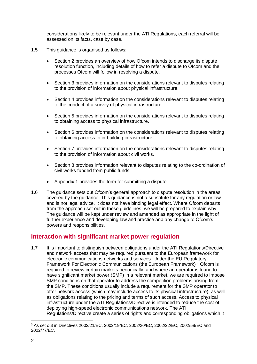considerations likely to be relevant under the ATI Regulations, each referral will be assessed on its facts, case by case.

- 1.5 This guidance is organised as follows:
	- Section 2 provides an overview of how Ofcom intends to discharge its dispute resolution function, including details of how to refer a dispute to Ofcom and the processes Ofcom will follow in resolving a dispute.
	- Section 3 provides information on the considerations relevant to disputes relating to the provision of information about physical infrastructure.
	- Section 4 provides information on the considerations relevant to disputes relating to the conduct of a survey of physical infrastructure.
	- Section 5 provides information on the considerations relevant to disputes relating to obtaining access to physical infrastructure.
	- Section 6 provides information on the considerations relevant to disputes relating to obtaining access to in-building infrastructure.
	- Section 7 provides information on the considerations relevant to disputes relating to the provision of information about civil works.
	- Section 8 provides information relevant to disputes relating to the co-ordination of civil works funded from public funds.
	- Appendix 1 provides the form for submitting a dispute.
- 1.6 The guidance sets out Ofcom's general approach to dispute resolution in the areas covered by the guidance. This guidance is not a substitute for any regulation or law and is not legal advice. It does not have binding legal effect. Where Ofcom departs from the approach set out in these guidelines, we will be prepared to explain why. The guidance will be kept under review and amended as appropriate in the light of further experience and developing law and practice and any change to Ofcom's powers and responsibilities.

## **Interaction with significant market power regulation**

1.7 It is important to distinguish between obligations under the ATI Regulations/Directive and network access that may be required pursuant to the European framework for electronic communications networks and services. Under the EU Regulatory Framework For Electronic Communications (the European Framework)<sup>3</sup>, Ofcom is required to review certain markets periodically, and where an operator is found to have significant market power (SMP) in a relevant market, we are required to impose SMP conditions on that operator to address the competition problems arising from the SMP. These conditions usually include a requirement for the SMP operator to offer network access (which may include access to its physical infrastructure), as well as obligations relating to the pricing and terms of such access. Access to physical infrastructure under the ATI Regulations/Directive is intended to reduce the cost of deploying high-speed electronic communications network. The ATI Regulations/Directive create a series of rights and corresponding obligations which it

<sup>3</sup> As set out in Directives 2002/21/EC, 2002/19/EC, 2002/20/EC, 2002/22/EC, 2002/58/EC and 2002/77/EC.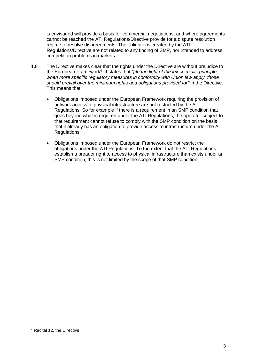is envisaged will provide a basis for commercial negotiations, and where agreements cannot be reached the ATI Regulations/Directive provide for a dispute resolution regime to resolve disagreements. The obligations created by the ATI Regulations/Directive are not related to any finding of SMP, nor intended to address competition problems in markets.

- 1.8 The Directive makes clear that the rights under the Directive are without prejudice to the European Framework<sup>4</sup>. It states that "[i]n the light of the lex specialis principle, *when more specific regulatory measures in conformity with Union law apply, those should prevail over the minimum rights and obligations provided for"* in the Directive. This means that:
	- Obligations imposed under the European Framework requiring the provision of network access to physical infrastructure are not restricted by the ATI Regulations. So for example if there is a requirement in an SMP condition that goes beyond what is required under the ATI Regulations, the operator subject to that requirement cannot refuse to comply with the SMP condition on the basis that it already has an obligation to provide access to infrastructure under the ATI Regulations.
	- Obligations imposed under the European Framework do not restrict the obligations under the ATI Regulations. To the extent that the ATI Regulations establish a broader right to access to physical infrastructure than exists under an SMP condition, this is not limited by the scope of that SMP condition.

<sup>4</sup> Recital 12, the Directive.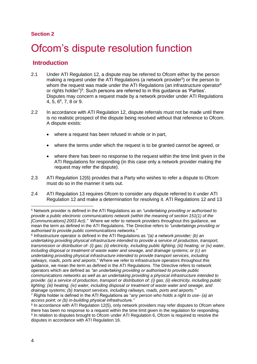# <span id="page-7-0"></span>Ofcom's dispute resolution function

## **Introduction**

- 2.1 Under ATI Regulation 12, a dispute may be referred to Ofcom either by the person making a request under the ATI Regulations (a network provider<sup>5</sup>) or the person to whom the request was made under the ATI Regulations (an infrastructure operator<sup>6</sup> or rights holder<sup>7</sup>)<sup>8</sup>. Such persons are referred to in this guidance as 'Parties'. Disputes may concern a request made by a network provider under ATI Regulations 4, 5, 6<sup>9</sup>, 7, 8 or 9.
- 2.2 In accordance with ATI Regulation 12, dispute referrals must not be made until there is no realistic prospect of the dispute being resolved without that reference to Ofcom. A dispute exists:
	- where a request has been refused in whole or in part,
	- where the terms under which the request is to be granted cannot be agreed, or
	- where there has been no response to the request within the time limit given in the ATI Regulations for responding (in this case only a network provider making the request may refer the dispute).
- 2.3 ATI Regulation 12(6) provides that a Party who wishes to refer a dispute to Ofcom must do so in the manner it sets out.
- 2.4 ATI Regulation 13 requires Ofcom to consider any dispute referred to it under ATI Regulation 12 and make a determination for resolving it. ATI Regulations 12 and 13

6 Infrastructure operator is defined in the ATI Regulations as *"(a) a network provider; (b) an undertaking providing physical infrastructure intended to provide a service of production, transport, transmission or distribution of- (i) gas; (ii) electricity, including public lighting; (iii) heating; or (iv) water, including disposal or treatment of waste water and sewage, and drainage systems; or (c) an undertaking providing physical infrastructure intended to provide transport services, including railways, roads, ports and airports.*" Where we refer to infrastructure operators throughout this guidance, we mean the term as defined in the ATI Regulations. The Directive refers to network operators which are defined as *"an undertaking providing or authorised to provide public communications networks as well as an undertaking providing a physical infrastructure intended to provide: (a) a service of production, transport or distribution of: (i) gas; (ii) electricity, including public lighting; (iii) heating; (iv) water, including disposal or treatment of waste water and sewage, and drainage systems; (b) transport services, including railways, roads, ports and airports."*

<sup>5</sup> Network provider is defined in the ATI Regulations as an *"undertaking providing or authorised to provide a public electronic communications network (within the meaning of section 151(1) of the [Communications] 2003 Act)."* Where we refer to network providers throughout this guidance, we mean the term as defined in the ATI Regulations. The Directive refers to *"undertakings providing or authorised to provide public communications networks."* 

<sup>7</sup> Rights holder is defined in the ATI Regulations as "*any person who holds a right to use- (a) an access point; or (b) in-building physical infrastructure."*

<sup>&</sup>lt;sup>8</sup> In accordance with ATI Regulation 12(5), only network providers may refer disputes to Ofcom where there has been no response to a request within the time limit given in the regulation for responding. <sup>9</sup> In relation to disputes brought to Ofcom under ATI Regulation 6, Ofcom is required to resolve the disputes in accordance with ATI Regulation 16.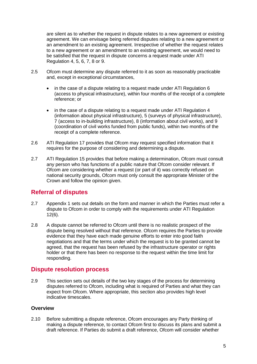are silent as to whether the request in dispute relates to a new agreement or existing agreement. We can envisage being referred disputes relating to a new agreement or an amendment to an existing agreement. Irrespective of whether the request relates to a new agreement or an amendment to an existing agreement, we would need to be satisfied that the request in dispute concerns a request made under ATI Regulation 4, 5, 6, 7, 8 or 9.

- 2.5 Ofcom must determine any dispute referred to it as soon as reasonably practicable and, except in exceptional circumstances,
	- in the case of a dispute relating to a request made under ATI Regulation 6 (access to physical infrastructure), within four months of the receipt of a complete reference; or
	- in the case of a dispute relating to a request made under ATI Regulation 4 (information about physical infrastructure), 5 (surveys of physical infrastructure), 7 (access to in-building infrastructure), 8 (information about civil works), and 9 (coordination of civil works funded from public funds), within two months of the receipt of a complete reference.
- 2.6 ATI Regulation 17 provides that Ofcom may request specified information that it requires for the purpose of considering and determining a dispute.
- 2.7 ATI Regulation 15 provides that before making a determination, Ofcom must consult any person who has functions of a public nature that Ofcom consider relevant. If Ofcom are considering whether a request (or part of it) was correctly refused on national security grounds, Ofcom must only consult the appropriate Minister of the Crown and follow the opinion given.

# **Referral of disputes**

- 2.7 Appendix 1 sets out details on the form and manner in which the Parties must refer a dispute to Ofcom in order to comply with the requirements under ATI Regulation 12(6).
- 2.8 A dispute cannot be referred to Ofcom until there is no realistic prospect of the dispute being resolved without that reference. Ofcom requires the Parties to provide evidence that they have each made genuine efforts to enter into good faith negotiations and that the terms under which the request is to be granted cannot be agreed, that the request has been refused by the infrastructure operator or rights holder or that there has been no response to the request within the time limit for responding.

## **Dispute resolution process**

2.9 This section sets out details of the two key stages of the process for determining disputes referred to Ofcom, including what is required of Parties and what they can expect from Ofcom. Where appropriate, this section also provides high level indicative timescales.

## **Overview**

2.10 Before submitting a dispute reference, Ofcom encourages any Party thinking of making a dispute reference, to contact Ofcom first to discuss its plans and submit a draft reference. If Parties do submit a draft reference, Ofcom will consider whether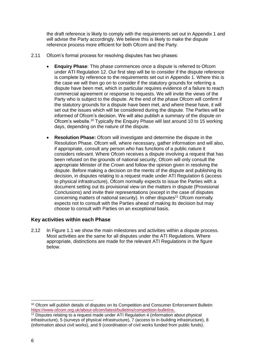the draft reference is likely to comply with the requirements set out in Appendix 1 and will advise the Party accordingly. We believe this is likely to make the dispute reference process more efficient for both Ofcom and the Party.

- 2.11 Ofcom's formal process for resolving disputes has two phases:
	- **Enquiry Phase**: This phase commences once a dispute is referred to Ofcom under ATI Regulation 12. Our first step will be to consider if the dispute reference is complete by reference to the requirements set out in Appendix 1. Where this is the case we will then go on to consider if the statutory grounds for referring a dispute have been met, which in particular requires evidence of a failure to reach commercial agreement or response to requests. We will invite the views of the Party who is subject to the dispute. At the end of the phase Ofcom will confirm if the statutory grounds for a dispute have been met, and where these have, it will set out the issues which will be considered during the dispute. The Parties will be informed of Ofcom's decision. We will also publish a summary of the dispute on Ofcom's website.<sup>10</sup> Typically the Enquiry Phase will last around 10 to 15 working days, depending on the nature of the dispute.
	- **Resolution Phase:** Ofcom will investigate and determine the dispute in the Resolution Phase. Ofcom will, where necessary, gather information and will also, if appropriate, consult any person who has functions of a public nature it considers relevant. Where Ofcom receives a dispute involving a request that has been refused on the grounds of national security, Ofcom will only consult the appropriate Minister of the Crown and follow the opinion given in resolving the dispute. Before making a decision on the merits of the dispute and publishing its decision, in disputes relating to a request made under ATI Regulation 6 (access to physical infrastructure), Ofcom normally expects to issue the Parties with a document setting out its provisional view on the matters in dispute (Provisional Conclusions) and invite their representations (except in the case of disputes concerning matters of national security). In other disputes<sup>11</sup> Ofcom normally expects not to consult with the Parties ahead of making its decision but may choose to consult with Parties on an exceptional basis.

### **Key activities within each Phase**

2.12 In Figure 1.1 we show the main milestones and activities within a dispute process. Most activities are the same for all disputes under the ATI Regulations. Where appropriate, distinctions are made for the relevant ATI Regulations in the figure below.

<sup>&</sup>lt;sup>10</sup> Ofcom will publish details of disputes on its Competition and Consumer Enforcement Bulletin: [https://www.ofcom.org.uk/about-ofcom/latest/bulletins/competition-bulletins.](https://www.ofcom.org.uk/about-ofcom/latest/bulletins/competition-bulletins)

<sup>&</sup>lt;sup>11</sup> Disputes relating to a request made under ATI Regulation 4 (information about physical infrastructure), 5 (surveys of physical infrastructure), 7 (access to in-building infrastructure), 8 (information about civil works), and 9 (coordination of civil works funded from public funds).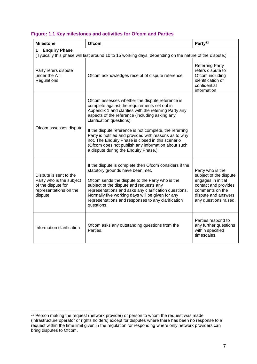| Figure: 1.1 Key milestones and activities for Ofcom and Parties |  |  |  |  |  |  |
|-----------------------------------------------------------------|--|--|--|--|--|--|
|-----------------------------------------------------------------|--|--|--|--|--|--|

| <b>Milestone</b>                                                                                                                    | <b>Ofcom</b>                                                                                                                                                                                                                                                                                                                                                                                                                                                                                                   | Party <sup>12</sup>                                                                                                                                         |  |
|-------------------------------------------------------------------------------------------------------------------------------------|----------------------------------------------------------------------------------------------------------------------------------------------------------------------------------------------------------------------------------------------------------------------------------------------------------------------------------------------------------------------------------------------------------------------------------------------------------------------------------------------------------------|-------------------------------------------------------------------------------------------------------------------------------------------------------------|--|
| <b>Enquiry Phase</b><br>1<br>(Typically this phase will last around 10 to 15 working days, depending on the nature of the dispute.) |                                                                                                                                                                                                                                                                                                                                                                                                                                                                                                                |                                                                                                                                                             |  |
| Party refers dispute<br>under the ATI<br>Regulations                                                                                | Ofcom acknowledges receipt of dispute reference                                                                                                                                                                                                                                                                                                                                                                                                                                                                | <b>Referring Party</b><br>refers dispute to<br>Ofcom including<br>identification of<br>confidential<br>information                                          |  |
| Ofcom assesses dispute                                                                                                              | Ofcom assesses whether the dispute reference is<br>complete against the requirements set out in<br>Appendix 1 and clarifies with the referring Party any<br>aspects of the reference (including asking any<br>clarification questions).<br>If the dispute reference is not complete, the referring<br>Party is notified and provided with reasons as to why<br>not. The Enquiry Phase is closed in this scenario<br>(Ofcom does not publish any information about such<br>a dispute during the Enquiry Phase.) |                                                                                                                                                             |  |
| Dispute is sent to the<br>Party who is the subject<br>of the dispute for<br>representations on the<br>dispute                       | If the dispute is complete then Ofcom considers if the<br>statutory grounds have been met.<br>Ofcom sends the dispute to the Party who is the<br>subject of the dispute and requests any<br>representations and asks any clarification questions.<br>Normally five working days will be given for any<br>representations and responses to any clarification<br>questions.                                                                                                                                      | Party who is the<br>subject of the dispute<br>engages in initial<br>contact and provides<br>comments on the<br>dispute and answers<br>any questions raised. |  |
| Information clarification                                                                                                           | Ofcom asks any outstanding questions from the<br>Parties.                                                                                                                                                                                                                                                                                                                                                                                                                                                      | Parties respond to<br>any further questions<br>within specified<br>timescales.                                                                              |  |

<sup>-</sup> $12$  Person making the request (network provider) or person to whom the request was made (infrastructure operator or rights holders) except for disputes where there has been no response to a request within the time limit given in the regulation for responding where only network providers can bring disputes to Ofcom.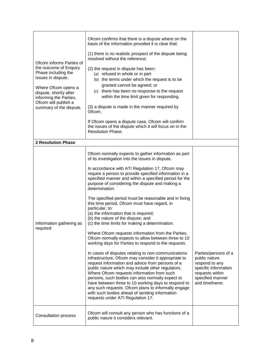| Ofcom informs Parties of<br>the outcome of Enquiry<br>Phase including the<br>issues in dispute.<br>Where Ofcom opens a<br>dispute, shortly after<br>informing the Parties,<br>Ofcom will publish a<br>summary of the dispute. | Ofcom confirms that there is a dispute where on the<br>basis of the information provided it is clear that:<br>(1) there is no realistic prospect of the dispute being<br>resolved without the reference;<br>(2) the request in dispute has been:<br>(a) refused in whole or in part<br>(b) the terms under which the request is to be<br>granted cannot be agreed; or<br>(c) there has been no response to the request<br>within the time limit given for responding.<br>(3) a dispute is made in the manner required by<br>Ofcom.<br>If Ofcom opens a dispute case, Ofcom will confirm<br>the issues of the dispute which it will focus on in the<br>Resolution Phase.                                                                                                                                                                                                                                                                                                                                                                                                                                                                                                                                                                                                                                               |                                                                                                                                          |
|-------------------------------------------------------------------------------------------------------------------------------------------------------------------------------------------------------------------------------|-----------------------------------------------------------------------------------------------------------------------------------------------------------------------------------------------------------------------------------------------------------------------------------------------------------------------------------------------------------------------------------------------------------------------------------------------------------------------------------------------------------------------------------------------------------------------------------------------------------------------------------------------------------------------------------------------------------------------------------------------------------------------------------------------------------------------------------------------------------------------------------------------------------------------------------------------------------------------------------------------------------------------------------------------------------------------------------------------------------------------------------------------------------------------------------------------------------------------------------------------------------------------------------------------------------------------|------------------------------------------------------------------------------------------------------------------------------------------|
| <b>2 Resolution Phase</b>                                                                                                                                                                                                     |                                                                                                                                                                                                                                                                                                                                                                                                                                                                                                                                                                                                                                                                                                                                                                                                                                                                                                                                                                                                                                                                                                                                                                                                                                                                                                                       |                                                                                                                                          |
| Information gathering as<br>required                                                                                                                                                                                          | Ofcom normally expects to gather information as part<br>of its investigation into the issues in dispute.<br>In accordance with ATI Regulation 17, Ofcom may<br>require a person to provide specified information in a<br>specified manner and within a specified period for the<br>purpose of considering the dispute and making a<br>determination.<br>The specified period must be reasonable and in fixing<br>this time period, Ofcom must have regard, in<br>particular, to:<br>(a) the information that is required;<br>(b) the nature of the dispute; and<br>(c) the time limits for making a determination.<br>Where Ofcom requests information from the Parties,<br>Ofcom normally expects to allow between three to 10<br>working days for Parties to respond to the requests.<br>In cases of disputes relating to non-communications<br>infrastructure, Ofcom may consider it appropriate to<br>request information and advice from persons of a<br>public nature which may include other regulators.<br>Where Ofcom requests information from such<br>persons, such bodies can also normally expect to<br>have between three to 10 working days to respond to<br>any such requests. Ofcom plans to informally engage<br>with such bodies ahead of sending information<br>requests under ATI Regulation 17. | Parties/persons of a<br>public nature<br>respond to any<br>specific information<br>requests within<br>specified manner<br>and timeframe. |
| <b>Consultation process</b>                                                                                                                                                                                                   | Ofcom will consult any person who has functions of a<br>public nature it considers relevant.                                                                                                                                                                                                                                                                                                                                                                                                                                                                                                                                                                                                                                                                                                                                                                                                                                                                                                                                                                                                                                                                                                                                                                                                                          |                                                                                                                                          |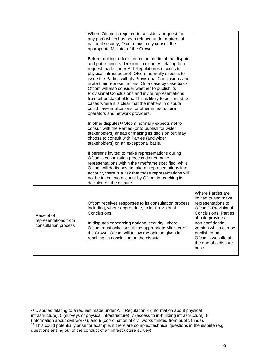|                                                            | Where Ofcom is required to consider a request (or<br>any part) which has been refused under matters of<br>national security, Ofcom must only consult the<br>appropriate Minister of the Crown.<br>Before making a decision on the merits of the dispute<br>and publishing its decision, in disputes relating to a<br>request made under ATI Regulation 6 (access to<br>physical infrastructure), Ofcom normally expects to<br>issue the Parties with its Provisional Conclusions and<br>invite their representations. On a case by case basis<br>Ofcom will also consider whether to publish its<br>Provisional Conclusions and invite representations<br>from other stakeholders. This is likely to be limited to<br>cases where it is clear that the matters in dispute<br>could have implications for other infrastructure<br>operators and network providers.<br>In other disputes <sup>13</sup> Ofcom normally expects not to<br>consult with the Parties (or to publish for wider<br>stakeholders) ahead of making its decision but may<br>choose to consult with Parties (and wider<br>stakeholders) on an exceptional basis. <sup>14</sup><br>If persons invited to make representations during<br>Ofcom's consultation process do not make<br>representations within the timeframe specified, while<br>Ofcom will do its best to take all representations into<br>account, there is a risk that those representations will<br>not be taken into account by Ofcom in reaching its<br>decision on the dispute. |                                                                                                                                                                                                                                                                    |
|------------------------------------------------------------|-----------------------------------------------------------------------------------------------------------------------------------------------------------------------------------------------------------------------------------------------------------------------------------------------------------------------------------------------------------------------------------------------------------------------------------------------------------------------------------------------------------------------------------------------------------------------------------------------------------------------------------------------------------------------------------------------------------------------------------------------------------------------------------------------------------------------------------------------------------------------------------------------------------------------------------------------------------------------------------------------------------------------------------------------------------------------------------------------------------------------------------------------------------------------------------------------------------------------------------------------------------------------------------------------------------------------------------------------------------------------------------------------------------------------------------------------------------------------------------------------------------------------|--------------------------------------------------------------------------------------------------------------------------------------------------------------------------------------------------------------------------------------------------------------------|
| Receipt of<br>representations from<br>consultation process | Ofcom receives responses to its consultation process<br>including, where appropriate, to its Provisional<br>Conclusions.<br>In disputes concerning national security, where<br>Ofcom must only consult the appropriate Minister of<br>the Crown, Ofcom will follow the opinion given in<br>reaching its conclusion on the dispute.                                                                                                                                                                                                                                                                                                                                                                                                                                                                                                                                                                                                                                                                                                                                                                                                                                                                                                                                                                                                                                                                                                                                                                                    | <b>Where Parties are</b><br>invited to and make<br>representations to<br>Ofcom's Provisional<br><b>Conclusions, Parties</b><br>should provide a<br>non-confidential<br>version which can be<br>published on<br>Ofcom's website at<br>the end of a dispute<br>case. |

<sup>-</sup> $13$  Disputes relating to a request made under ATI Regulation 4 (information about physical infrastructure), 5 (surveys of physical infrastructure), 7 (access to in-building infrastructure), 8 (information about civil works), and 9 (coordination of civil works funded from public funds).

<sup>&</sup>lt;sup>14</sup> This could potentially arise for example, if there are complex technical questions in the dispute (e.g. questions arising out of the conduct of an infrastructure survey).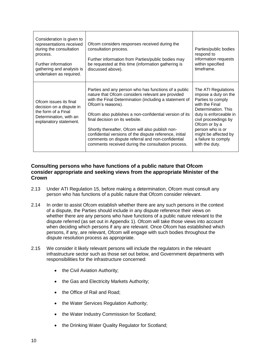| Consideration is given to<br>representations received<br>during the consultation<br>process.<br>Further information<br>gathering and analysis is<br>undertaken as required. | Ofcom considers responses received during the<br>consultation process.<br>Further information from Parties/public bodies may<br>be requested at this time (information gathering is<br>discussed above).                                                                                                                                                                                                                                                                                                       | Parties/public bodies<br>respond to<br>information requests<br>within specified<br>timeframe.                                                                                                                                                                     |
|-----------------------------------------------------------------------------------------------------------------------------------------------------------------------------|----------------------------------------------------------------------------------------------------------------------------------------------------------------------------------------------------------------------------------------------------------------------------------------------------------------------------------------------------------------------------------------------------------------------------------------------------------------------------------------------------------------|-------------------------------------------------------------------------------------------------------------------------------------------------------------------------------------------------------------------------------------------------------------------|
| Ofcom issues its final<br>decision on a dispute in<br>the form of a Final<br>Determination, with an<br>explanatory statement.                                               | Parties and any person who has functions of a public<br>nature that Ofcom considers relevant are provided<br>with the Final Determination (including a statement of<br>Ofcom's reasons).<br>Ofcom also publishes a non-confidential version of its<br>final decision on its website.<br>Shortly thereafter, Ofcom will also publish non-<br>confidential versions of the dispute reference, initial<br>comments on dispute referral and non-confidential<br>comments received during the consultation process. | The ATI Regulations<br>impose a duty on the<br>Parties to comply<br>with the Final<br>Determination. This<br>duty is enforceable in<br>civil proceedings by<br>Ofcom or by a<br>person who is or<br>might be affected by<br>a failure to comply<br>with the duty. |

### **Consulting persons who have functions of a public nature that Ofcom consider appropriate and seeking views from the appropriate Minister of the Crown**

- 2.13 Under ATI Regulation 15, before making a determination, Ofcom must consult any person who has functions of a public nature that Ofcom consider relevant.
- 2.14 In order to assist Ofcom establish whether there are any such persons in the context of a dispute, the Parties should include in any dispute reference their views on whether there are any persons who have functions of a public nature relevant to the dispute referred (as set out in Appendix 1). Ofcom will take those views into account when deciding which persons if any are relevant. Once Ofcom has established which persons, if any, are relevant, Ofcom will engage with such bodies throughout the dispute resolution process as appropriate.
- 2.15 We consider it likely relevant persons will include the regulators in the relevant infrastructure sector such as those set out below, and Government departments with responsibilities for the infrastructure concerned:
	- the Civil Aviation Authority;
	- the Gas and Electricity Markets Authority;
	- the Office of Rail and Road:
	- the Water Services Regulation Authority;
	- the Water Industry Commission for Scotland;
	- the Drinking Water Quality Regulator for Scotland;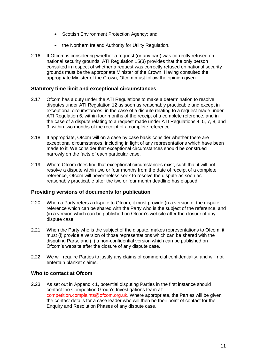- Scottish Environment Protection Agency; and
- the Northern Ireland Authority for Utility Regulation.
- 2.16 If Ofcom is considering whether a request (or any part) was correctly refused on national security grounds, ATI Regulation 15(3) provides that the only person consulted in respect of whether a request was correctly refused on national security grounds must be the appropriate Minister of the Crown. Having consulted the appropriate Minister of the Crown, Ofcom must follow the opinion given.

#### **Statutory time limit and exceptional circumstances**

- 2.17 Ofcom has a duty under the ATI Regulations to make a determination to resolve disputes under ATI Regulation 12 as soon as reasonably practicable and except in exceptional circumstances, in the case of a dispute relating to a request made under ATI Regulation 6, within four months of the receipt of a complete reference, and in the case of a dispute relating to a request made under ATI Regulations 4, 5, 7, 8, and 9, within two months of the receipt of a complete reference.
- 2.18 If appropriate, Ofcom will on a case by case basis consider whether there are exceptional circumstances, including in light of any representations which have been made to it. We consider that exceptional circumstances should be construed narrowly on the facts of each particular case.
- 2.19 Where Ofcom does find that exceptional circumstances exist, such that it will not resolve a dispute within two or four months from the date of receipt of a complete reference, Ofcom will nevertheless seek to resolve the dispute as soon as reasonably practicable after the two or four month deadline has elapsed.

#### **Providing versions of documents for publication**

- 2.20 When a Party refers a dispute to Ofcom, it must provide (i) a version of the dispute reference which can be shared with the Party who is the subject of the reference, and (ii) a version which can be published on Ofcom's website after the closure of any dispute case.
- 2.21 When the Party who is the subject of the dispute, makes representations to Ofcom, it must (i) provide a version of those representations which can be shared with the disputing Party, and (ii) a non-confidential version which can be published on Ofcom's website after the closure of any dispute case.
- 2.22 We will require Parties to justify any claims of commercial confidentiality, and will not entertain blanket claims.

#### **Who to contact at Ofcom**

2.23 As set out in Appendix 1, potential disputing Parties in the first instance should contact the Competition Group's Investigations team at: [competition.complaints@ofcom.org.uk.](mailto:competition.complaints@ofcom.org.uk) Where appropriate, the Parties will be given the contact details for a case leader who will then be their point of contact for the Enquiry and Resolution Phases of any dispute case.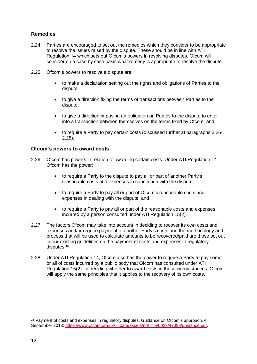## **Remedies**

- 2.24 Parties are encouraged to set out the remedies which they consider to be appropriate to resolve the issues raised by the dispute. These should be in line with ATI Regulation 14 which sets out Ofcom's powers in resolving disputes. Ofcom will consider on a case by case basis what remedy is appropriate to resolve the dispute.
- 2.25 Ofcom's powers to resolve a dispute are:
	- to make a declaration setting out the rights and obligations of Parties to the dispute;
	- to give a direction fixing the terms of transactions between Parties to the dispute;
	- to give a direction imposing an obligation on Parties to the dispute to enter into a transaction between themselves on the terms fixed by Ofcom; and
	- to require a Party to pay certain costs (discussed further at paragraphs 2.26- 2.28).

### **Ofcom's powers to award costs**

- 2.26 Ofcom has powers in relation to awarding certain costs. Under ATI Regulation 14 Ofcom has the power:
	- to require a Party to the dispute to pay all or part of another Party's reasonable costs and expenses in connection with the dispute;
	- to require a Party to pay all or part of Ofcom's reasonable costs and expenses in dealing with the dispute; and
	- to require a Party to pay all or part of the reasonable costs and expenses incurred by a person consulted under ATI Regulation 15(2).
- 2.27 The factors Ofcom may take into account in deciding to recover its own costs and expenses and/or require payment of another Party's costs and the methodology and process that will be used to calculate amounts to be recovered/paid are those set out in our existing guidelines on the payment of costs and expenses in regulatory disputes.<sup>15</sup>
- 2.28 Under ATI Regulation 14, Ofcom also has the power to require a Party to pay some or all of costs incurred by a public body that Ofcom has consulted under ATI Regulation 15(2). In deciding whether to award costs in these circumstances, Ofcom will apply the same principles that it applies to the recovery of its own costs.

<sup>15</sup> Payment of costs and expenses in regulatory disputes, Guidance on Ofcom's approach, 4 September 2013: [https://www.ofcom.org.uk/\\_\\_data/assets/pdf\\_file/0023/47093/guidance.pdf.](https://www.ofcom.org.uk/__data/assets/pdf_file/0023/47093/guidance.pdf)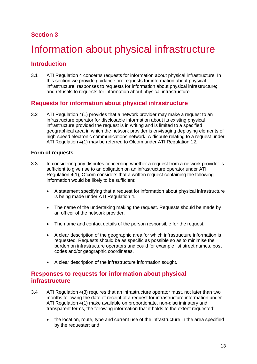# <span id="page-16-0"></span>Information about physical infrastructure

# **Introduction**

3.1 ATI Regulation 4 concerns requests for information about physical infrastructure. In this section we provide guidance on: requests for information about physical infrastructure; responses to requests for information about physical infrastructure; and refusals to requests for information about physical infrastructure.

# **Requests for information about physical infrastructure**

3.2 ATI Regulation 4(1) provides that a network provider may make a request to an infrastructure operator for disclosable information about its existing physical infrastructure provided the request is in writing and is limited to a specified geographical area in which the network provider is envisaging deploying elements of high-speed electronic communications network. A dispute relating to a request under ATI Regulation 4(1) may be referred to Ofcom under ATI Regulation 12.

### **Form of requests**

- 3.3 In considering any disputes concerning whether a request from a network provider is sufficient to give rise to an obligation on an infrastructure operator under ATI Regulation 4(1), Ofcom considers that a written request containing the following information would be likely to be sufficient:
	- A statement specifying that a request for information about physical infrastructure is being made under ATI Regulation 4.
	- The name of the undertaking making the request. Requests should be made by an officer of the network provider.
	- The name and contact details of the person responsible for the request.
	- A clear description of the geographic area for which infrastructure information is requested. Requests should be as specific as possible so as to minimise the burden on infrastructure operators and could for example list street names, post codes and/or geographic coordinates.
	- A clear description of the infrastructure information sought.

## **Responses to requests for information about physical infrastructure**

- 3.4 ATI Regulation 4(3) requires that an infrastructure operator must, not later than two months following the date of receipt of a request for infrastructure information under ATI Regulation 4(1) make available on proportionate, non-discriminatory and transparent terms, the following information that it holds to the extent requested:
	- the location, route, type and current use of the infrastructure in the area specified by the requester; and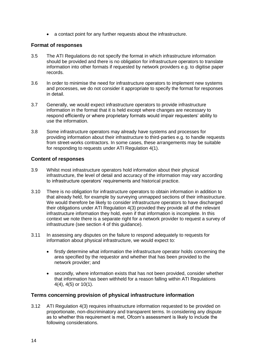a contact point for any further requests about the infrastructure.

#### **Format of responses**

- 3.5 The ATI Regulations do not specify the format in which infrastructure information should be provided and there is no obligation for infrastructure operators to translate information into other formats if requested by network providers e.g. to digitise paper records.
- 3.6 In order to minimise the need for infrastructure operators to implement new systems and processes, we do not consider it appropriate to specify the format for responses in detail.
- 3.7 Generally, we would expect infrastructure operators to provide infrastructure information in the format that it is held except where changes are necessary to respond efficiently or where proprietary formats would impair requesters' ability to use the information.
- 3.8 Some infrastructure operators may already have systems and processes for providing information about their infrastructure to third-parties e.g. to handle requests from street-works contractors. In some cases, these arrangements may be suitable for responding to requests under ATI Regulation 4(1).

#### **Content of responses**

- 3.9 Whilst most infrastructure operators hold information about their physical infrastructure, the level of detail and accuracy of the information may vary according to infrastructure operators' requirements and historical practice.
- 3.10 There is no obligation for infrastructure operators to obtain information in addition to that already held, for example by surveying unmapped sections of their infrastructure. We would therefore be likely to consider infrastructure operators to have discharged their obligations under ATI Regulation 4(3) provided they provide all of the relevant infrastructure information they hold, even if that information is incomplete. In this context we note there is a separate right for a network provider to request a survey of infrastructure (see section 4 of this guidance).
- 3.11 In assessing any disputes on the failure to respond adequately to requests for information about physical infrastructure, we would expect to:
	- firstly determine what information the infrastructure operator holds concerning the area specified by the requestor and whether that has been provided to the network provider; and
	- secondly, where information exists that has not been provided, consider whether that information has been withheld for a reason falling within ATI Regulations 4(4), 4(5) or 10(1).

### **Terms concerning provision of physical infrastructure information**

3.12 ATI Regulation 4(3) requires infrastructure information requested to be provided on proportionate, non-discriminatory and transparent terms. In considering any dispute as to whether this requirement is met, Ofcom's assessment is likely to include the following considerations.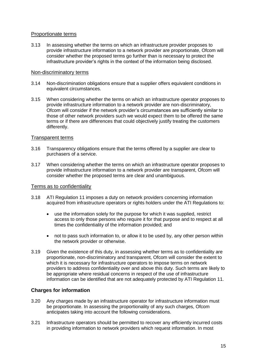#### Proportionate terms

3.13 In assessing whether the terms on which an infrastructure provider proposes to provide infrastructure information to a network provider are proportionate, Ofcom will consider whether the proposed terms go further than is necessary to protect the infrastructure provider's rights in the context of the information being disclosed.

#### Non-discriminatory terms

- 3.14 Non-discrimination obligations ensure that a supplier offers equivalent conditions in equivalent circumstances.
- 3.15 When considering whether the terms on which an infrastructure operator proposes to provide infrastructure information to a network provider are non-discriminatory, Ofcom will consider if the network provider's circumstances are sufficiently similar to those of other network providers such we would expect them to be offered the same terms or if there are differences that could objectively justify treating the customers differently.

#### Transparent terms

- 3.16 Transparency obligations ensure that the terms offered by a supplier are clear to purchasers of a service.
- 3.17 When considering whether the terms on which an infrastructure operator proposes to provide infrastructure information to a network provider are transparent, Ofcom will consider whether the proposed terms are clear and unambiguous.

### Terms as to confidentiality

- 3.18 ATI Regulation 11 imposes a duty on network providers concerning information acquired from infrastructure operators or rights holders under the ATI Regulations to:
	- use the information solely for the purpose for which it was supplied, restrict access to only those persons who require it for that purpose and to respect at all times the confidentiality of the information provided; and
	- not to pass such information to, or allow it to be used by, any other person within the network provider or otherwise.
- 3.19 Given the existence of this duty, in assessing whether terms as to confidentiality are proportionate, non-discriminatory and transparent, Ofcom will consider the extent to which it is necessary for infrastructure operators to impose terms on network providers to address confidentiality over and above this duty. Such terms are likely to be appropriate where residual concerns in respect of the use of infrastructure information can be identified that are not adequately protected by ATI Regulation 11.

### **Charges for information**

- 3.20 Any charges made by an infrastructure operator for infrastructure information must be proportionate. In assessing the proportionality of any such charges, Ofcom anticipates taking into account the following considerations.
- 3.21 Infrastructure operators should be permitted to recover any efficiently incurred costs in providing information to network providers which request information. In most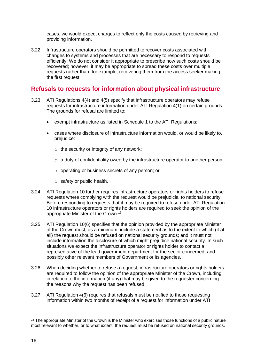cases, we would expect charges to reflect only the costs caused by retrieving and providing information.

3.22 Infrastructure operators should be permitted to recover costs associated with changes to systems and processes that are necessary to respond to requests efficiently. We do not consider it appropriate to prescribe how such costs should be recovered; however, it may be appropriate to spread these costs over multiple requests rather than, for example, recovering them from the access seeker making the first request.

## **Refusals to requests for information about physical infrastructure**

- 3.23 ATI Regulations 4(4) and 4(5) specify that infrastructure operators may refuse requests for infrastructure information under ATI Regulation 4(1) on certain grounds. The grounds for refusal are limited to:
	- exempt infrastructure as listed in Schedule 1 to the ATI Regulations;
	- cases where disclosure of infrastructure information would, or would be likely to, prejudice:
		- $\circ$  the security or integrity of any network:
		- $\circ$  a duty of confidentiality owed by the infrastructure operator to another person;
		- o operating or business secrets of any person; or
		- o safety or public health.
- 3.24 ATI Regulation 10 further requires infrastructure operators or rights holders to refuse requests where complying with the request would be prejudicial to national security. Before responding to requests that it may be required to refuse under ATI Regulation 10 infrastructure operators or rights holders are required to seek the opinion of the appropriate Minister of the Crown.<sup>16</sup>
- 3.25 ATI Regulation 10(6) specifies that the opinion provided by the appropriate Minister of the Crown must, as a minimum, include a statement as to the extent to which (if at all) the request should be refused on national security grounds; and it must not include information the disclosure of which might prejudice national security. In such situations we expect the infrastructure operator or rights holder to contact a representative of the lead government department for the sector concerned, and possibly other relevant members of Government or its agencies.
- 3.26 When deciding whether to refuse a request, infrastructure operators or rights holders are required to follow the opinion of the appropriate Minister of the Crown, including in relation to the information (if any) that may be given to the requester concerning the reasons why the request has been refused.
- 3.27 ATI Regulation 4(6) requires that refusals must be notified to those requesting information within two months of receipt of a request for information under ATI

<sup>&</sup>lt;sup>16</sup> The appropriate Minister of the Crown is the Minister who exercises those functions of a public nature most relevant to whether, or to what extent, the request must be refused on national security grounds.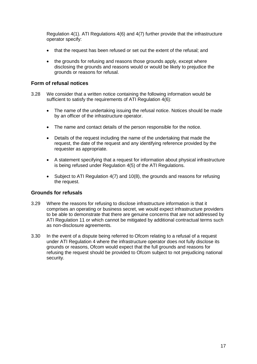Regulation 4(1). ATI Regulations 4(6) and 4(7) further provide that the infrastructure operator specify:

- that the request has been refused or set out the extent of the refusal; and
- the grounds for refusing and reasons those grounds apply, except where disclosing the grounds and reasons would or would be likely to prejudice the grounds or reasons for refusal.

#### **Form of refusal notices**

- 3.28 We consider that a written notice containing the following information would be sufficient to satisfy the requirements of ATI Regulation  $4(6)$ :
	- The name of the undertaking issuing the refusal notice. Notices should be made by an officer of the infrastructure operator.
	- The name and contact details of the person responsible for the notice.
	- Details of the request including the name of the undertaking that made the request, the date of the request and any identifying reference provided by the requester as appropriate.
	- A statement specifying that a request for information about physical infrastructure is being refused under Regulation 4(5) of the ATI Regulations.
	- Subject to ATI Regulation 4(7) and 10(8), the grounds and reasons for refusing the request.

#### **Grounds for refusals**

- 3.29 Where the reasons for refusing to disclose infrastructure information is that it comprises an operating or business secret, we would expect infrastructure providers to be able to demonstrate that there are genuine concerns that are not addressed by ATI Regulation 11 or which cannot be mitigated by additional contractual terms such as non-disclosure agreements.
- 3.30 In the event of a dispute being referred to Ofcom relating to a refusal of a request under ATI Regulation 4 where the infrastructure operator does not fully disclose its grounds or reasons, Ofcom would expect that the full grounds and reasons for refusing the request should be provided to Ofcom subject to not prejudicing national security.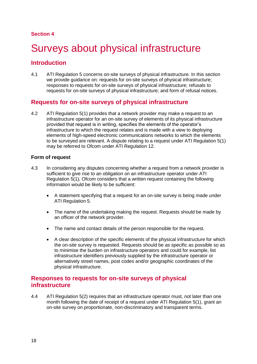# <span id="page-21-0"></span>Surveys about physical infrastructure

## **Introduction**

4.1 ATI Regulation 5 concerns on-site surveys of physical infrastructure. In this section we provide quidance on: requests for on-site surveys of physical infrastructure; responses to requests for on-site surveys of physical infrastructure; refusals to requests for on-site surveys of physical infrastructure; and form of refusal notices.

## **Requests for on-site surveys of physical infrastructure**

4.2 ATI Regulation 5(1) provides that a network provider may make a request to an infrastructure operator for an on-site survey of elements of its physical infrastructure provided that request is in writing, specifies the elements of the operator's infrastructure to which the request relates and is made with a view to deploying elements of high-speed electronic communications networks to which the elements to be surveyed are relevant. A dispute relating to a request under ATI Regulation 5(1) may be referred to Ofcom under ATI Regulation 12.

### **Form of request**

- 4.3 In considering any disputes concerning whether a request from a network provider is sufficient to give rise to an obligation on an infrastructure operator under ATI Regulation 5(1), Ofcom considers that a written request containing the following information would be likely to be sufficient:
	- A statement specifying that a request for an on-site survey is being made under ATI Regulation 5.
	- The name of the undertaking making the request. Requests should be made by an officer of the network provider.
	- The name and contact details of the person responsible for the request.
	- A clear description of the specific elements of the physical infrastructure for which the on-site survey is requested. Requests should be as specific as possible so as to minimise the burden on infrastructure operators and could for example, list infrastructure identifiers previously supplied by the infrastructure operator or alternatively street names, post codes and/or geographic coordinates of the physical infrastructure.

## **Responses to requests for on-site surveys of physical infrastructure**

4.4 ATI Regulation 5(2) requires that an infrastructure operator must, not later than one month following the date of receipt of a request under ATI Regulation 5(1), grant an on-site survey on proportionate, non-discriminatory and transparent terms.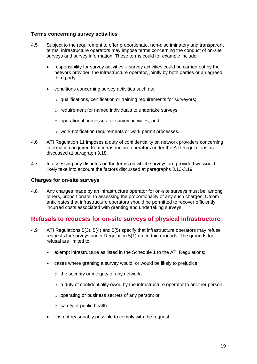### **Terms concerning survey activities**

- 4.5 Subject to the requirement to offer proportionate, non-discriminatory and transparent terms, infrastructure operators may impose terms concerning the conduct of on-site surveys and survey information. These terms could for example include:
	- responsibility for survey activities survey activities could be carried out by the network provider, the infrastructure operator, jointly by both parties or an agreed third party;
	- conditions concerning survey activities such as:
		- o qualifications, certification or training requirements for surveyors;
		- o requirement for named individuals to undertake surveys;
		- o operational processes for survey activities; and
		- o work notification requirements or work permit processes.
- 4.6 ATI Regulation 11 imposes a duty of confidentiality on network providers concerning information acquired from infrastructure operators under the ATI Regulations as discussed at paragraph 3.18.
- 4.7 In assessing any disputes on the terms on which surveys are provided we would likely take into account the factors discussed at paragraphs 3.13-3.19.

#### **Charges for on-site surveys**

4.8 Any charges made by an infrastructure operator for on-site surveys must be, among others, proportionate. In assessing the proportionality of any such charges, Ofcom anticipates that infrastructure operators should be permitted to recover efficiently incurred costs associated with granting and undertaking surveys.

## **Refusals to requests for on-site surveys of physical infrastructure**

- 4.9 ATI Regulations 5(3), 5(4) and 5(5) specify that infrastructure operators may refuse requests for surveys under Regulation 5(1) on certain grounds. The grounds for refusal are limited to:
	- exempt infrastructure as listed in the Schedule 1 to the ATI Regulations;
	- cases where granting a survey would, or would be likely to prejudice:
		- $\circ$  the security or integrity of any network;
		- o a duty of confidentiality owed by the infrastructure operator to another person;
		- o operating or business secrets of any person; or
		- o safety or public health.
	- it is not reasonably possible to comply with the request.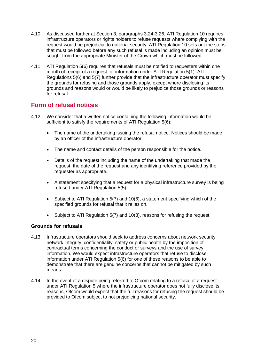- 4.10 As discussed further at Section 3, paragraphs 3.24-3.26, ATI Regulation 10 requires infrastructure operators or rights holders to refuse requests where complying with the request would be prejudicial to national security. ATI Regulation 10 sets out the steps that must be followed before any such refusal is made including an opinion must be sought from the appropriate Minister of the Crown which must be followed.
- 4.11 ATI Regulation 5(6) requires that refusals must be notified to requesters within one month of receipt of a request for information under ATI Regulation 5(1). ATI Regulations 5(6) and 5(7) further provide that the infrastructure operator must specify the grounds for refusing and those grounds apply, except where disclosing its grounds and reasons would or would be likely to prejudice those grounds or reasons for refusal.

# **Form of refusal notices**

- 4.12 We consider that a written notice containing the following information would be sufficient to satisfy the requirements of ATI Regulation 5(6):
	- The name of the undertaking issuing the refusal notice. Notices should be made by an officer of the infrastructure operator.
	- The name and contact details of the person responsible for the notice.
	- Details of the request including the name of the undertaking that made the request, the date of the request and any identifying reference provided by the requester as appropriate.
	- A statement specifying that a request for a physical infrastructure survey is being refused under ATI Regulation 5(5).
	- Subject to ATI Regulation 5(7) and 10(6), a statement specifying which of the specified grounds for refusal that it relies on.
	- Subject to ATI Regulation 5(7) and 10(8), reasons for refusing the request.

### **Grounds for refusals**

- 4.13 Infrastructure operators should seek to address concerns about network security, network integrity, confidentiality, safety or public health by the imposition of contractual terms concerning the conduct or surveys and the use of survey information. We would expect infrastructure operators that refuse to disclose information under ATI Regulation 5(6) for one of these reasons to be able to demonstrate that there are genuine concerns that cannot be mitigated by such means.
- 4.14 In the event of a dispute being referred to Ofcom relating to a refusal of a request under ATI Regulation 5 where the infrastructure operator does not fully disclose its reasons, Ofcom would expect that the full reasons for refusing the request should be provided to Ofcom subject to not prejudicing national security.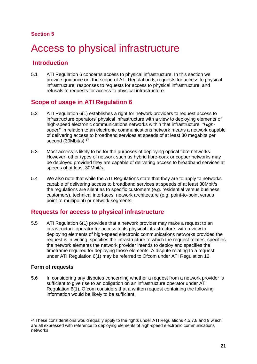# <span id="page-24-0"></span>Access to physical infrastructure

# **Introduction**

5.1 ATI Regulation 6 concerns access to physical infrastructure. In this section we provide guidance on: the scope of ATI Regulation 6; requests for access to physical infrastructure; responses to requests for access to physical infrastructure; and refusals to requests for access to physical infrastructure.

# **Scope of usage in ATI Regulation 6**

- 5.2 ATI Regulation 6(1) establishes a right for network providers to request access to infrastructure operators' physical infrastructure with a view to deploying elements of high-speed electronic communications networks within that infrastructure. *"Highspeed*" in relation to an electronic communications network means a network capable of delivering access to broadband services at speeds of at least 30 megabits per second (30Mbit/s).<sup>17</sup>
- 5.3 Most access is likely to be for the purposes of deploying optical fibre networks. However, other types of network such as hybrid fibre-coax or copper networks may be deployed provided they are capable of delivering access to broadband services at speeds of at least 30Mbit/s.
- 5.4 We also note that while the ATI Regulations state that they are to apply to networks capable of delivering access to broadband services at speeds of at least 30Mbit/s, the regulations are silent as to specific customers (e.g. residential versus business customers), technical interfaces, network architecture (e.g. point-to-point versus point-to-multipoint) or network segments.

# **Requests for access to physical infrastructure**

5.5 ATI Regulation 6(1) provides that a network provider may make a request to an infrastructure operator for access to its physical infrastructure, with a view to deploying elements of high-speed electronic communications networks provided the request is in writing, specifies the infrastructure to which the request relates, specifies the network elements the network provider intends to deploy and specifies the timeframe required for deploying those elements. A dispute relating to a request under ATI Regulation 6(1) may be referred to Ofcom under ATI Regulation 12.

## **Form of requests**

-

5.6 In considering any disputes concerning whether a request from a network provider is sufficient to give rise to an obligation on an infrastructure operator under ATI Regulation 6(1), Ofcom considers that a written request containing the following information would be likely to be sufficient:

<sup>&</sup>lt;sup>17</sup> These considerations would equally apply to the rights under ATI Requisitions 4,5,7,8 and 9 which are all expressed with reference to deploying elements of high-speed electronic communications networks.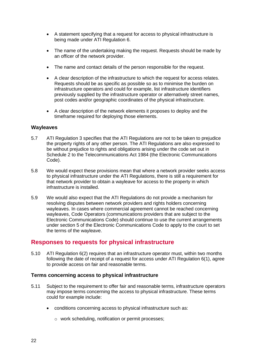- A statement specifying that a request for access to physical infrastructure is being made under ATI Regulation 6.
- The name of the undertaking making the request. Requests should be made by an officer of the network provider.
- The name and contact details of the person responsible for the request.
- A clear description of the infrastructure to which the request for access relates. Requests should be as specific as possible so as to minimise the burden on infrastructure operators and could for example, list infrastructure identifiers previously supplied by the infrastructure operator or alternatively street names, post codes and/or geographic coordinates of the physical infrastructure.
- A clear description of the network elements it proposes to deploy and the timeframe required for deploying those elements.

#### **Wayleaves**

- 5.7 ATI Regulation 3 specifies that the ATI Regulations are not to be taken to prejudice the property rights of any other person. The ATI Regulations are also expressed to be without prejudice to rights and obligations arising under the code set out in Schedule 2 to the Telecommunications Act 1984 (the Electronic Communications Code).
- 5.8 We would expect these provisions mean that where a network provider seeks access to physical infrastructure under the ATI Regulations, there is still a requirement for that network provider to obtain a wayleave for access to the property in which infrastructure is installed.
- 5.9 We would also expect that the ATI Regulations do not provide a mechanism for resolving disputes between network providers and rights holders concerning wayleaves. In cases where commercial agreement cannot be reached concerning wayleaves, Code Operators (communications providers that are subject to the Electronic Communications Code) should continue to use the current arrangements under section 5 of the Electronic Communications Code to apply to the court to set the terms of the wayleave.

## **Responses to requests for physical infrastructure**

5.10 ATI Regulation 6(2) requires that an infrastructure operator must, within two months following the date of receipt of a request for access under ATI Regulation 6(1), agree to provide access on fair and reasonable terms.

#### **Terms concerning access to physical infrastructure**

- 5.11 Subject to the requirement to offer fair and reasonable terms, infrastructure operators may impose terms concerning the access to physical infrastructure. These terms could for example include:
	- conditions concerning access to physical infrastructure such as:
		- o work scheduling, notification or permit processes;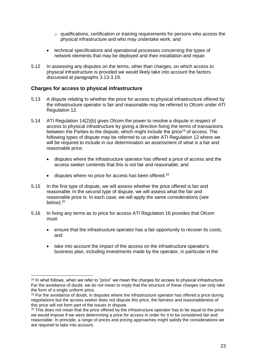- $\circ$  qualifications, certification or training requirements for persons who access the physical infrastructure and who may undertake work; and
- technical specifications and operational processes concerning the types of network elements that may be deployed and their installation and repair.
- 5.12 In assessing any disputes on the terms, other than charges, on which access to physical infrastructure is provided we would likely take into account the factors discussed at paragraphs 3.13-3.19.

#### **Charges for access to physical infrastructure**

- 5.13 A dispute relating to whether the price for access to physical infrastructure offered by the infrastructure operator is fair and reasonable may be referred to Ofcom under ATI Regulation 12.
- 5.14 ATI Regulation 14(2)(b) gives Ofcom the power to resolve a dispute in respect of access to physical infrastructure by giving a direction fixing the terms of transactions between the Parties to the dispute, which might include the price<sup>18</sup> of access. The following types of dispute may be referred to us under ATI Regulation 12 where we will be required to include in our determination an assessment of what is a fair and reasonable price:
	- disputes where the infrastructure operator has offered a price of access and the access seeker contends that this is not fair and reasonable; and
	- disputes where no price for access has been offered.<sup>19</sup>
- 5.15 In the first type of dispute, we will assess whether the price offered is fair and reasonable. In the second type of dispute, we will assess what the fair and reasonable price is. In each case, we will apply the same considerations (see below).<sup>20</sup>
- 5.16 In fixing any terms as to price for access ATI Regulation 16 provides that Ofcom must:
	- ensure that the infrastructure operator has a fair opportunity to recover its costs; and
	- take into account the impact of the access on the infrastructure operator's business plan, including investments made by the operator, in particular in the

<sup>-</sup><sup>18</sup> In what follows, when we refer to "*price*" we mean the charges for access to physical infrastructure. For the avoidance of doubt, we do not mean to imply that the structure of these charges can only take the form of a single uniform price.

 $19$  For the avoidance of doubt, in disputes where the infrastructure operator has offered a price during negotiations but the access seeker does not dispute this price, the fairness and reasonableness of this price will not form part of the issues in dispute.

 $20$  This does not mean that the price offered by the infrastructure operator has to be equal to the price we would impose if we were determining a price for access in order for it to be considered fair and reasonable. In principle, a range of prices and pricing approaches might satisfy the considerations we are required to take into account.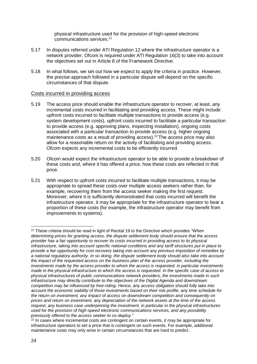physical infrastructure used for the provision of high-speed electronic communications services. 21

- 5.17 In disputes referred under ATI Regulation 12 where the infrastructure operator is a network provider, Ofcom is required under ATI Regulation 16(3) to take into account the objectives set out in Article 8 of the Framework Directive.
- 5.18 In what follows, we set out how we expect to apply the criteria in practice. However, the precise approach followed in a particular dispute will depend on the specific circumstances of that dispute.

#### Costs incurred in providing access

- 5.19 The access price should enable the infrastructure operator to recover, at least, any incremental costs incurred in facilitating and providing access. These might include upfront costs incurred to facilitate multiple transactions to provide access (e.g. system development costs), upfront costs incurred to facilitate a particular transaction to provide access (e.g. approving plans, inspecting installation), ongoing costs associated with a particular transaction to provide access (e.g. higher ongoing maintenance costs as a result of providing access).<sup>22</sup> The access price may also allow for a reasonable return on the activity of facilitating and providing access. Ofcom expects any incremental costs to be efficiently incurred.
- 5.20 Ofcom would expect the infrastructure operator to be able to provide a breakdown of these costs and, where it has offered a price, how these costs are reflected in that price.
- 5.21 With respect to upfront costs incurred to facilitate multiple transactions, it may be appropriate to spread these costs over multiple access seekers rather than, for example, recovering them from the access seeker making the first request. Moreover, where it is sufficiently demonstrated that costs incurred will benefit the infrastructure operator, it may be appropriate for the infrastructure operator to bear a proportion of these costs (for example, the infrastructure operator may benefit from improvements to systems).

<sup>21</sup> These criteria should be read in light of Recital 19 to the Directive which provides *"When determining prices for granting access, the dispute settlement body should ensure that the access provider has a fair opportunity to recover its costs incurred in providing access to its physical infrastructure, taking into account specific national conditions and any tariff structures put in place to provide a fair opportunity for cost recovery taking into account any previous imposition of remedies by a national regulatory authority. In so doing, the dispute settlement body should also take into account the impact of the requested access on the business plan of the access provider, including the investments made by the access provider to whom the access is requested, in particular investments made in the physical infrastructure to which the access is requested. In the specific case of access to physical infrastructures of public communications network providers, the investments made in such infrastructure may directly contribute to the objectives of the Digital Agenda and downstream competition may be influenced by free-riding. Hence, any access obligation should fully take into account the economic viability of those investments based on their risk profile, any time schedule for the return on investment, any impact of access on downstream competition and consequently on prices and return on investment, any depreciation of the network assets at the time of the access request, any business case underpinning the investment, in particular in the physical infrastructures used for the provision of high-speed electronic communications services, and any possibility previously offered to the access seeker to co-deploy."*

 $22$  In cases where incremental costs are contingent on certain events, it may be appropriate for infrastructure operators to set a price that is contingent on such events. For example, additional maintenance costs may only arise in certain circumstances that are hard to predict.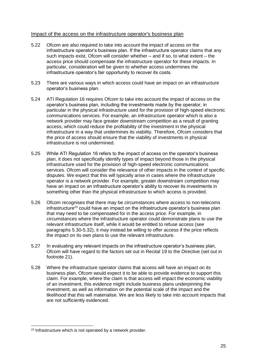#### Impact of the access on the infrastructure operator's business plan

- 5.22 Ofcom are also required to take into account the impact of access on the infrastructure operator's business plan. If the infrastructure operator claims that any such impacts exist, Ofcom will consider whether – and if so, to what extent – the access price should compensate the infrastructure operator for these impacts. In particular, consideration will be given to whether access undermines the infrastructure operator's fair opportunity to recover its costs.
- 5.23 There are various ways in which access could have an impact on an infrastructure operator's business plan.
- 5.24 ATI Regulation 16 requires Ofcom to take into account the impact of access on the operator's business plan, including the investments made by the operator, in particular in the physical infrastructure used for the provision of high-speed electronic communications services. For example, an infrastructure operator which is also a network provider may face greater downstream competition as a result of granting access, which could reduce the profitability of the investment in the physical infrastructure in a way that undermines its viability. Therefore, Ofcom considers that the price of access should ensure that the viability of investments in physical infrastructure is not undermined.
- 5.25 While ATI Regulation 16 refers to the impact of access on the operator's business plan, it does not specifically identify types of impact beyond those in the physical infrastructure used for the provision of high-speed electronic communications services. Ofcom will consider the relevance of other impacts in the context of specific disputes. We expect that this will typically arise in cases where the infrastructure operator is a network provider. For example, greater downstream competition may have an impact on an infrastructure operator's ability to recover its investments in something other than the physical infrastructure to which access is provided.
- 5.26 Ofcom recognises that there may be circumstances where access to non-telecoms  $infrastructure<sup>23</sup>$  could have an impact on the infrastructure operator's business plan that may need to be compensated for in the access price. For example, in circumstances where the infrastructure operator could demonstrate plans to use the relevant infrastructure itself, while it would be entitled to refuse access (see paragraphs 5.30-5.32), it may instead be willing to offer access if the price reflects the impact on its own plans to use the relevant infrastructure.
- 5.27 In evaluating any relevant impacts on the infrastructure operator's business plan, Ofcom will have regard to the factors set out in Recital 19 to the Directive (set out in footnote 21).
- 5.28 Where the infrastructure operator claims that access will have an impact on its business plan, Ofcom would expect it to be able to provide evidence to support this claim. For example, where the claim is that access will impact the economic viability of an investment, this evidence might include business plans underpinning the investment, as well as information on the potential scale of the impact and the likelihood that this will materialise. We are less likely to take into account impacts that are not sufficiently evidenced.

<sup>-</sup><sup>23</sup> Infrastructure which is not operated by a network provider.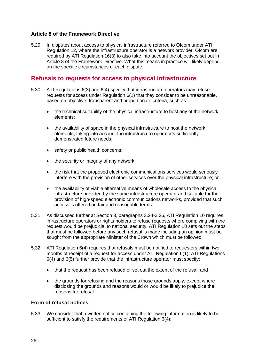### **Article 8 of the Framework Directive**

5.29 In disputes about access to physical infrastructure referred to Ofcom under ATI Regulation 12, where the infrastructure operator is a network provider, Ofcom are required by ATI Regulation 16(3) to also take into account the objectives set out in Article 8 of the Framework Directive. What this means in practice will likely depend on the specific circumstances of each dispute.

## **Refusals to requests for access to physical infrastructure**

- 5.30 ATI Regulations 6(3) and 6(4) specify that infrastructure operators may refuse requests for access under Regulation 6(1) that they consider to be unreasonable, based on objective, transparent and proportionate criteria, such as:
	- the technical suitability of the physical infrastructure to host any of the network elements;
	- the availability of space in the physical infrastructure to host the network elements, taking into account the infrastructure operator's sufficiently demonstrated future needs;
	- safety or public health concerns;
	- the security or integrity of any network;
	- the risk that the proposed electronic communications services would seriously interfere with the provision of other services over the physical infrastructure; or
	- the availability of viable alternative means of wholesale access to the physical infrastructure provided by the same infrastructure operator and suitable for the provision of high-speed electronic communications networks, provided that such access is offered on fair and reasonable terms.
- 5.31 As discussed further at Section 3, paragraphs 3.24-3.26, ATI Regulation 10 requires infrastructure operators or rights holders to refuse requests where complying with the request would be prejudicial to national security. ATI Regulation 10 sets out the steps that must be followed before any such refusal is made including an opinion must be sought from the appropriate Minister of the Crown which must be followed.
- 5.32 ATI Regulation 6(4) requires that refusals must be notified to requesters within two months of receipt of a request for access under ATI Regulation 6(1). ATI Regulations 6(4) and 6(5) further provide that the infrastructure operator must specify:
	- that the request has been refused or set out the extent of the refusal; and
	- the grounds for refusing and the reasons those grounds apply, except where disclosing the grounds and reasons would or would be likely to prejudice the reasons for refusal.

### **Form of refusal notices**

5.33 We consider that a written notice containing the following information is likely to be sufficient to satisfy the requirements of ATI Regulation 6(4):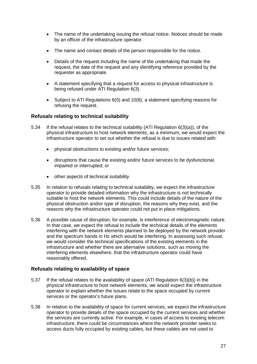- The name of the undertaking issuing the refusal notice. Notices should be made by an officer of the infrastructure operator.
- The name and contact details of the person responsible for the notice.
- Details of the request including the name of the undertaking that made the request, the date of the request and any identifying reference provided by the requester as appropriate.
- A statement specifying that a request for access to physical infrastructure is being refused under ATI Regulation 6(3).
- Subject to ATI Regulations 6(5) and 10(8), a statement specifying reasons for refusing the request.

### **Refusals relating to technical suitability**

- 5.34 If the refusal relates to the technical suitability (ATI Regulation 6(3)(a)), of the physical infrastructure to host network elements, as a minimum, we would expect the infrastructure operator to set out whether the refusal is due to issues related with:
	- physical obstructions to existing and/or future services;
	- disruptions that cause the existing and/or future services to be dysfunctional, impaired or interrupted; or
	- other aspects of technical suitability.
- 5.35 In relation to refusals relating to technical suitability, we expect the infrastructure operator to provide detailed information why the infrastructure is not technically suitable to host the network elements. This could include details of the nature of the physical obstruction and/or type of disruption, the reasons why they exist, and the reasons why the infrastructure operator could not put in place mitigations.
- 5.36 A possible cause of disruption, for example, is interference of electromagnetic nature. In that case, we expect the refusal to include the technical details of the elements interfering with the network elements planned to be deployed by the network provider and the spectrum bands in Hz which would be interfering. In assessing such refusal, we would consider the technical specifications of the existing elements in the infrastructure and whether there are alternative solutions, such as moving the interfering elements elsewhere, that the infrastructure operator could have reasonably offered.

### **Refusals relating to availability of space**

- 5.37 If the refusal relates to the availability of space (ATI Regulation 6(3)(b)) in the physical infrastructure to host network elements, we would expect the infrastructure operator to explain whether the issues relate to the space occupied by current services or the operator's future plans.
- 5.38 In relation to the availability of space for current services, we expect the infrastructure operator to provide details of the space occupied by the current services and whether the services are currently active. For example, in cases of access to existing telecom infrastructure, there could be circumstances where the network provider seeks to access ducts fully occupied by existing cables, but these cables are not used to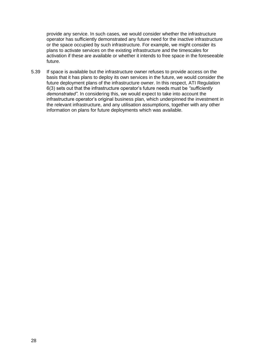provide any service. In such cases, we would consider whether the infrastructure operator has sufficiently demonstrated any future need for the inactive infrastructure or the space occupied by such infrastructure. For example, we might consider its plans to activate services on the existing infrastructure and the timescales for activation if these are available or whether it intends to free space in the foreseeable future.

5.39 If space is available but the infrastructure owner refuses to provide access on the basis that it has plans to deploy its own services in the future, we would consider the future deployment plans of the infrastructure owner. In this respect, ATI Regulation 6(3) sets out that the infrastructure operator's future needs must be *"sufficiently demonstrated"*. In considering this, we would expect to take into account the infrastructure operator's original business plan, which underpinned the investment in the relevant infrastructure, and any utilisation assumptions, together with any other information on plans for future deployments which was available.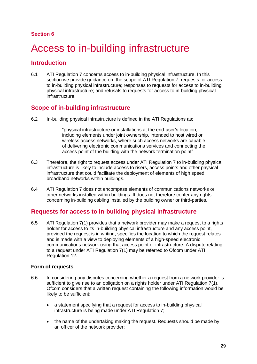# <span id="page-32-0"></span>6 Access to in-building infrastructure

## **Introduction**

6.1 ATI Regulation 7 concerns access to in-building physical infrastructure. In this section we provide guidance on: the scope of ATI Regulation 7; requests for access to in-building physical infrastructure; responses to requests for access to in-building physical infrastructure; and refusals to requests for access to in-building physical infrastructure.

## **Scope of in-building infrastructure**

6.2 In-building physical infrastructure is defined in the ATI Regulations as:

"physical infrastructure or installations at the end-user's location, including elements under joint ownership, intended to host wired or wireless access networks, where such access networks are capable of delivering electronic communications services and connecting the access point of the building with the network termination point".

- 6.3 Therefore, the right to request access under ATI Regulation 7 to in-building physical infrastructure is likely to include access to risers, access points and other physical infrastructure that could facilitate the deployment of elements of high speed broadband networks within buildings.
- 6.4 ATI Regulation 7 does not encompass elements of communications networks or other networks installed within buildings. It does not therefore confer any rights concerning in-building cabling installed by the building owner or third-parties.

## **Requests for access to in-building physical infrastructure**

6.5 ATI Regulation 7(1) provides that a network provider may make a request to a rights holder for access to its in-building physical infrastructure and any access point, provided the request is in writing, specifies the location to which the request relates and is made with a view to deploying elements of a high-speed electronic communications network using that access point or infrastructure. A dispute relating to a request under ATI Regulation 7(1) may be referred to Ofcom under ATI Regulation 12.

### **Form of requests**

- 6.6 In considering any disputes concerning whether a request from a network provider is sufficient to give rise to an obligation on a rights holder under ATI Regulation 7(1), Ofcom considers that a written request containing the following information would be likely to be sufficient:
	- a statement specifying that a request for access to in-building physical infrastructure is being made under ATI Regulation 7;
	- the name of the undertaking making the request. Requests should be made by an officer of the network provider;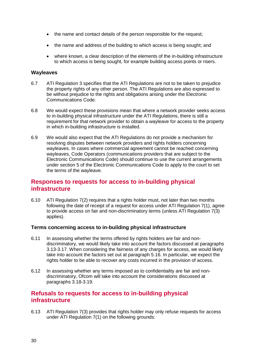- the name and contact details of the person responsible for the request;
- the name and address of the building to which access is being sought; and
- where known, a clear description of the elements of the in-building infrastructure to which access is being sought, for example building access points or risers.

#### **Wayleaves**

- 6.7 ATI Regulation 3 specifies that the ATI Regulations are not to be taken to prejudice the property rights of any other person. The ATI Regulations are also expressed to be without prejudice to the rights and obligations arising under the Electronic Communications Code.
- 6.8 We would expect these provisions mean that where a network provider seeks access to in-building physical infrastructure under the ATI Regulations, there is still a requirement for that network provider to obtain a wayleave for access to the property in which in-building infrastructure is installed.
- 6.9 We would also expect that the ATI Regulations do not provide a mechanism for resolving disputes between network providers and rights holders concerning wayleaves. In cases where commercial agreement cannot be reached concerning wayleaves, Code Operators (communications providers that are subject to the Electronic Communications Code) should continue to use the current arrangements under section 5 of the Electronic Communications Code to apply to the court to set the terms of the wayleave.

# **Responses to requests for access to in-building physical infrastructure**

6.10 ATI Regulation 7(2) requires that a rights holder must, not later than two months following the date of receipt of a request for access under ATI Regulation 7(1), agree to provide access on fair and non-discriminatory terms (unless ATI Regulation 7(3) applies).

#### **Terms concerning access to in-building physical infrastructure**

- 6.11 In assessing whether the terms offered by rights holders are fair and nondiscriminatory, we would likely take into account the factors discussed at paragraphs 3.13-3.17. When considering the fairness of any charges for access, we would likely take into account the factors set out at paragraph 5.16. In particular, we expect the rights holder to be able to recover any costs incurred in the provision of access.
- 6.12 In assessing whether any terms imposed as to confidentiality are fair and nondiscriminatory, Ofcom will take into account the considerations discussed at paragraphs 3.18-3.19.

## **Refusals to requests for access to in-building physical infrastructure**

6.13 ATI Regulation 7(3) provides that rights holder may only refuse requests for access under ATI Regulation 7(1) on the following grounds: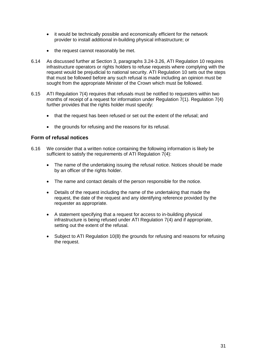- it would be technically possible and economically efficient for the network provider to install additional in-building physical infrastructure; or
- the request cannot reasonably be met.
- 6.14 As discussed further at Section 3, paragraphs 3.24-3.26, ATI Regulation 10 requires infrastructure operators or rights holders to refuse requests where complying with the request would be prejudicial to national security. ATI Regulation 10 sets out the steps that must be followed before any such refusal is made including an opinion must be sought from the appropriate Minister of the Crown which must be followed.
- 6.15 ATI Regulation 7(4) requires that refusals must be notified to requesters within two months of receipt of a request for information under Regulation 7(1). Regulation 7(4) further provides that the rights holder must specify:
	- that the request has been refused or set out the extent of the refusal; and
	- the grounds for refusing and the reasons for its refusal.

### **Form of refusal notices**

- 6.16 We consider that a written notice containing the following information is likely be sufficient to satisfy the requirements of ATI Regulation  $7(4)$ :
	- The name of the undertaking issuing the refusal notice. Notices should be made by an officer of the rights holder.
	- The name and contact details of the person responsible for the notice.
	- Details of the request including the name of the undertaking that made the request, the date of the request and any identifying reference provided by the requester as appropriate.
	- A statement specifying that a request for access to in-building physical infrastructure is being refused under ATI Regulation 7(4) and if appropriate, setting out the extent of the refusal.
	- Subject to ATI Regulation 10(8) the grounds for refusing and reasons for refusing the request.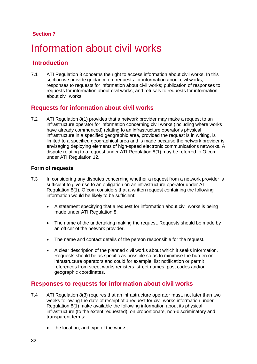# <span id="page-35-0"></span>Information about civil works

# **Introduction**

7.1 ATI Regulation 8 concerns the right to access information about civil works. In this section we provide quidance on: requests for information about civil works; responses to requests for information about civil works; publication of responses to requests for information about civil works; and refusals to requests for information about civil works.

## **Requests for information about civil works**

7.2 ATI Regulation 8(1) provides that a network provider may make a request to an infrastructure operator for information concerning civil works (including where works have already commenced) relating to an infrastructure operator's physical infrastructure in a specified geographic area, provided the request is in writing, is limited to a specified geographical area and is made because the network provider is envisaging deploying elements of high-speed electronic communications networks. A dispute relating to a request under ATI Regulation 8(1) may be referred to Ofcom under ATI Regulation 12.

### **Form of requests**

- 7.3 In considering any disputes concerning whether a request from a network provider is sufficient to give rise to an obligation on an infrastructure operator under ATI Regulation 8(1), Ofcom considers that a written request containing the following information would be likely to be sufficient:
	- A statement specifying that a request for information about civil works is being made under ATI Regulation 8.
	- The name of the undertaking making the request. Requests should be made by an officer of the network provider.
	- The name and contact details of the person responsible for the request.
	- A clear description of the planned civil works about which it seeks information. Requests should be as specific as possible so as to minimise the burden on infrastructure operators and could for example, list notification or permit references from street works registers, street names, post codes and/or geographic coordinates.

## **Responses to requests for information about civil works**

- 7.4 ATI Regulation 8(3) requires that an infrastructure operator must, not later than two weeks following the date of receipt of a request for civil works information under Regulation 8(1) make available the following information about its physical infrastructure (to the extent requested), on proportionate, non-discriminatory and transparent terms:
	- the location, and type of the works;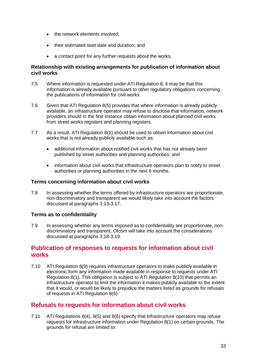- the network elements involved;
- their estimated start date and duration; and
- a contact point for any further requests about the works.

### **Relationship with existing arrangements for publication of information about civil works**

- 7.5 Where information is requested under ATI Regulation 8, it may be that this information is already available pursuant to other regulatory obligations concerning the publications of information for civil works.
- 7.6 Given that ATI Regulation 8(5) provides that where information is already publicly available, an infrastructure operator may refuse to disclose that information, network providers should in the first instance obtain information about planned civil works from street works registers and planning registers.
- 7.7 As a result, ATI Regulation 8(1) should be used to obtain information about civil works that is not already publicly available such as:
	- additional information about notified civil works that has not already been published by street authorities and planning authorities; and
	- information about civil works that infrastructure operators plan to notify to street authorities or planning authorities in the next 6 months.

#### **Terms concerning information about civil works**

7.8 In assessing whether the terms offered by infrastructure operators are proportionate, non-discriminatory and transparent we would likely take into account the factors discussed at paragraphs 3.13-3.17.

### **Terms as to confidentiality**

7.9 In assessing whether any terms imposed as to confidentiality are proportionate, nondiscriminatory and transparent, Ofcom will take into account the considerations discussed at paragraphs 3.18-3.19.

## **Publication of responses to requests for information about civil works**

7.10 ATI Regulation 8(9) requires infrastructure operators to make publicly available in electronic form any information made available in response to requests under ATI Regulation 8(1). This obligation is subject to ATI Regulation 8(10) that permits an infrastructure operator to limit the information it makes publicly available to the extent that it would, or would be likely to prejudice the matters listed as grounds for refusals of requests in ATI Regulation 8(6).

## **Refusals to requests for information about civil works**

7.11 ATI Regulations 8(4), 8(5) and 8(6) specify that infrastructure operators may refuse requests for infrastructure information under Regulation 8(1) on certain grounds. The grounds for refusal are limited to: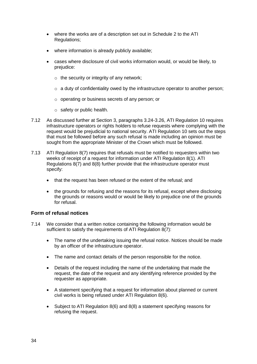- where the works are of a description set out in Schedule 2 to the ATI Regulations;
- where information is already publicly available;
- cases where disclosure of civil works information would, or would be likely, to prejudice:
	- $\circ$  the security or integrity of any network;
	- $\circ$  a duty of confidentiality owed by the infrastructure operator to another person;
	- o operating or business secrets of any person; or
	- o safety or public health.
- 7.12 As discussed further at Section 3, paragraphs 3.24-3.26, ATI Regulation 10 requires infrastructure operators or rights holders to refuse requests where complying with the request would be prejudicial to national security. ATI Regulation 10 sets out the steps that must be followed before any such refusal is made including an opinion must be sought from the appropriate Minister of the Crown which must be followed.
- 7.13 ATI Regulation 8(7) requires that refusals must be notified to requesters within two weeks of receipt of a request for information under ATI Regulation 8(1). ATI Regulations 8(7) and 8(8) further provide that the infrastructure operator must specify:
	- that the request has been refused or the extent of the refusal: and
	- the grounds for refusing and the reasons for its refusal, except where disclosing the grounds or reasons would or would be likely to prejudice one of the grounds for refusal.

### **Form of refusal notices**

- 7.14 We consider that a written notice containing the following information would be sufficient to satisfy the requirements of ATI Regulation 8(7):
	- The name of the undertaking issuing the refusal notice. Notices should be made by an officer of the infrastructure operator.
	- The name and contact details of the person responsible for the notice.
	- Details of the request including the name of the undertaking that made the request, the date of the request and any identifying reference provided by the requester as appropriate.
	- A statement specifying that a request for information about planned or current civil works is being refused under ATI Regulation 8(6).
	- Subject to ATI Regulation 8(6) and 8(8) a statement specifying reasons for refusing the request.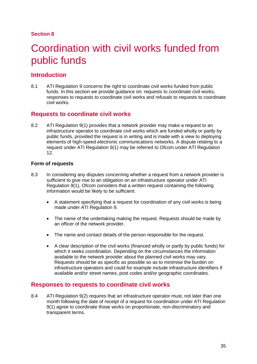# <span id="page-38-0"></span>Coordination with civil works funded from public funds

# **Introduction**

8.1 ATI Regulation 9 concerns the right to coordinate civil works funded from public funds. In this section we provide guidance on: requests to coordinate civil works, responses to requests to coordinate civil works and refusals to requests to coordinate civil works.

## **Requests to coordinate civil works**

8.2 ATI Regulation 9(1) provides that a network provider may make a request to an infrastructure operator to coordinate civil works which are funded wholly or partly by public funds, provided the request is in writing and is made with a view to deploying elements of high-speed electronic communications networks. A dispute relating to a request under ATI Regulation 9(1) may be referred to Ofcom under ATI Regulation 12.

### **Form of requests**

- 8.3 In considering any disputes concerning whether a request from a network provider is sufficient to give rise to an obligation on an infrastructure operator under ATI Regulation 9(1), Ofcom considers that a written request containing the following information would be likely to be sufficient:
	- A statement specifying that a request for coordination of any civil works is being made under ATI Regulation 9.
	- The name of the undertaking making the request. Requests should be made by an officer of the network provider.
	- The name and contact details of the person responsible for the request.
	- A clear description of the civil works (financed wholly or partly by public funds) for which it seeks coordination. Depending on the circumstances the information available to the network provider about the planned civil works may vary. Requests should be as specific as possible so as to minimise the burden on infrastructure operators and could for example include infrastructure identifiers if available and/or street names, post codes and/or geographic coordinates.

## **Responses to requests to coordinate civil works**

8.4 ATI Regulation 9(2) requires that an infrastructure operator must, not later than one month following the date of receipt of a request for coordination under ATI Regulation 9(1) agree to coordinate those works on proportionate, non-discriminatory and transparent terms.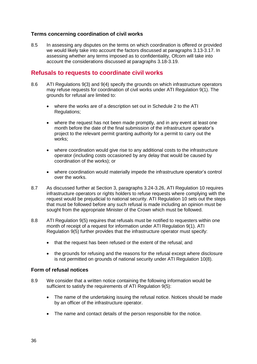### **Terms concerning coordination of civil works**

8.5 In assessing any disputes on the terms on which coordination is offered or provided we would likely take into account the factors discussed at paragraphs 3.13-3.17. In assessing whether any terms imposed as to confidentiality, Ofcom will take into account the considerations discussed at paragraphs 3.18-3.19.

## **Refusals to requests to coordinate civil works**

- 8.6 ATI Regulations 9(3) and 9(4) specify the grounds on which infrastructure operators may refuse requests for coordination of civil works under ATI Regulation 9(1). The grounds for refusal are limited to:
	- where the works are of a description set out in Schedule 2 to the ATI Regulations;
	- where the request has not been made promptly, and in any event at least one month before the date of the final submission of the infrastructure operator's project to the relevant permit granting authority for a permit to carry out the works;
	- where coordination would give rise to any additional costs to the infrastructure operator (including costs occasioned by any delay that would be caused by coordination of the works); or
	- where coordination would materially impede the infrastructure operator's control over the works.
- 8.7 As discussed further at Section 3, paragraphs 3.24-3.26, ATI Regulation 10 requires infrastructure operators or rights holders to refuse requests where complying with the request would be prejudicial to national security. ATI Regulation 10 sets out the steps that must be followed before any such refusal is made including an opinion must be sought from the appropriate Minister of the Crown which must be followed.
- 8.8 ATI Regulation 9(5) requires that refusals must be notified to requesters within one month of receipt of a request for information under ATI Regulation 9(1). ATI Regulation 9(5) further provides that the infrastructure operator must specify:
	- that the request has been refused or the extent of the refusal; and
	- the grounds for refusing and the reasons for the refusal except where disclosure is not permitted on grounds of national security under ATI Regulation 10(8).

#### **Form of refusal notices**

- 8.9 We consider that a written notice containing the following information would be sufficient to satisfy the requirements of ATI Regulation  $9(5)$ :
	- The name of the undertaking issuing the refusal notice. Notices should be made by an officer of the infrastructure operator.
	- The name and contact details of the person responsible for the notice.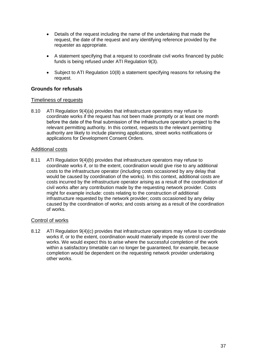- Details of the request including the name of the undertaking that made the request, the date of the request and any identifying reference provided by the requester as appropriate.
- A statement specifying that a request to coordinate civil works financed by public funds is being refused under ATI Regulation 9(3).
- Subject to ATI Regulation 10(8) a statement specifying reasons for refusing the request.

#### **Grounds for refusals**

#### Timeliness of requests

8.10 ATI Regulation 9(4)(a) provides that infrastructure operators may refuse to coordinate works if the request has not been made promptly or at least one month before the date of the final submission of the infrastructure operator's project to the relevant permitting authority. In this context, requests to the relevant permitting authority are likely to include planning applications, street works notifications or applications for Development Consent Orders.

#### Additional costs

8.11 ATI Regulation 9(4)(b) provides that infrastructure operators may refuse to coordinate works if, or to the extent, coordination would give rise to any additional costs to the infrastructure operator (including costs occasioned by any delay that would be caused by coordination of the works). In this context, additional costs are costs incurred by the infrastructure operator arising as a result of the coordination of civil works after any contribution made by the requesting network provider. Costs might for example include: costs relating to the construction of additional infrastructure requested by the network provider; costs occasioned by any delay caused by the coordination of works; and costs arising as a result of the coordination of works.

#### Control of works

8.12 ATI Regulation 9(4)(c) provides that infrastructure operators may refuse to coordinate works if, or to the extent, coordination would materially impede its control over the works. We would expect this to arise where the successful completion of the work within a satisfactory timetable can no longer be guaranteed, for example, because completion would be dependent on the requesting network provider undertaking other works.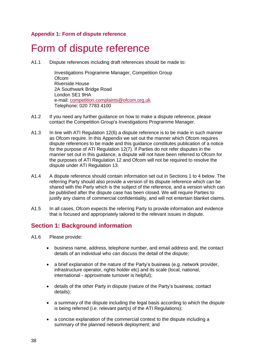## **Appendix 1: Form of dispute reference**

# <span id="page-41-0"></span>Form of dispute reference

A1.1 Dispute references including draft references should be made to:

Investigations Programme Manager, Competition Group **Ofcom** Riverside House 2A Southwark Bridge Road London SE1 9HA e-mail: [competition.complaints@ofcom.org.uk](mailto:competition.complaints@ofcom.org.uk) Telephone: 020 7783 4100

- A1.2 If you need any further guidance on how to make a dispute reference, please contact the Competition Group's Investigations Programme Manager.
- A1.3 In line with ATI Regulation 12(6) a dispute reference is to be made in such manner as Ofcom require. In this Appendix we set out the manner which Ofcom requires dispute references to be made and this guidance constitutes publication of a notice for the purpose of ATI Regulation 12(7). If Parties do not refer disputes in the manner set out in this guidance, a dispute will not have been referred to Ofcom for the purposes of ATI Regulation 12 and Ofcom will not be required to resolve the dispute under ATI Regulation 13.
- A1.4 A dispute reference should contain information set out in Sections 1 to 4 below. The referring Party should also provide a version of its dispute reference which can be shared with the Party which is the subject of the reference, and a version which can be published after the dispute case has been closed. We will require Parties to justify any claims of commercial confidentiality, and will not entertain blanket claims.
- A1.5 In all cases, Ofcom expects the referring Party to provide information and evidence that is focused and appropriately tailored to the relevant issues in dispute.

# **Section 1: Background information**

- A1.6 Please provide:
	- business name, address, telephone number, and email address and, the contact details of an individual who can discuss the detail of the dispute;
	- a brief explanation of the nature of the Party's business (e.g. network provider, infrastructure operator, rights holder etc) and its scale (local, national, international - approximate turnover is helpful);
	- details of the other Party in dispute (nature of the Party's business; contact details);
	- a summary of the dispute including the legal basis according to which the dispute is being referred (i.e. relevant part(s) of the ATI Regulations);
	- a concise explanation of the commercial context to the dispute including a summary of the planned network deployment; and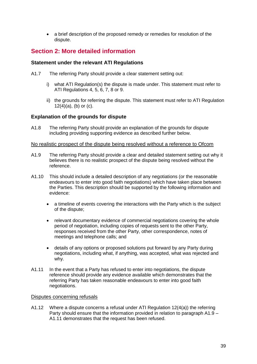a brief description of the proposed remedy or remedies for resolution of the dispute.

# **Section 2: More detailed information**

#### **Statement under the relevant ATI Regulations**

- A1.7 The referring Party should provide a clear statement setting out:
	- i) what ATI Regulation(s) the dispute is made under. This statement must refer to ATI Regulations 4, 5, 6, 7, 8 or 9.
	- ii) the grounds for referring the dispute. This statement must refer to ATI Regulation  $12(4)(a)$ , (b) or (c).

#### **Explanation of the grounds for dispute**

A1.8 The referring Party should provide an explanation of the grounds for dispute including providing supporting evidence as described further below.

#### No realistic prospect of the dispute being resolved without a reference to Ofcom

- A1.9 The referring Party should provide a clear and detailed statement setting out why it believes there is no realistic prospect of the dispute being resolved without the reference.
- A1.10 This should include a detailed description of any negotiations (or the reasonable endeavours to enter into good faith negotiations) which have taken place between the Parties. This description should be supported by the following information and evidence:
	- a timeline of events covering the interactions with the Party which is the subject of the dispute;
	- relevant documentary evidence of commercial negotiations covering the whole period of negotiation, including copies of requests sent to the other Party, responses received from the other Party, other correspondence, notes of meetings and telephone calls; and
	- details of any options or proposed solutions put forward by any Party during negotiations, including what, if anything, was accepted, what was rejected and why.
- A1.11 In the event that a Party has refused to enter into negotiations, the dispute reference should provide any evidence available which demonstrates that the referring Party has taken reasonable endeavours to enter into good faith negotiations.

#### Disputes concerning refusals

A1.12 Where a dispute concerns a refusal under ATI Regulation 12(4(a)) the referring Party should ensure that the information provided in relation to paragraph A1.9 – A1.11 demonstrates that the request has been refused.